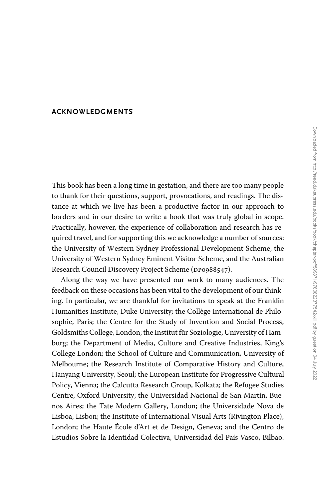## **ACKNOWLEDGMENTS**

This book has been a long time in gestation, and there are too many people to thank for their questions, support, provocations, and readings. The distance at which we live has been a productive factor in our approach to borders and in our desire to write a book that was truly global in scope. Practically, however, the experience of collaboration and research has required travel, and for supporting this we acknowledge a number of sources: the University of Western Sydney Professional Development Scheme, the University of Western Sydney Eminent Visitor Scheme, and the Australian Research Council Discovery Project Scheme (DP0988547).

Along the way we have presented our work to many audiences. The feedback on these occasions has been vital to the development of our thinking. In particular, we are thankful for invitations to speak at the Franklin Humanities Institute, Duke University; the Collège International de Philosophie, Paris; the Centre for the Study of Invention and Social Process, Goldsmiths College, London; the Institut für Soziologie, University of Hamburg; the Department of Media, Culture and Creative Industries, King's College London; the School of Culture and Communication, University of Melbourne; the Research Institute of Comparative History and Culture, Hanyang University, Seoul; the European Institute for Progressive Cultural Policy, Vienna; the Calcutta Research Group, Kolkata; the Refugee Studies Centre, Oxford University; the Universidad Nacional de San Martín, Buenos Aires; the Tate Modern Gallery, London; the Universidade Nova de Lisboa, Lisbon; the Institute of International Visual Arts (Rivington Place), London; the Haute École d'Art et de Design, Geneva; and the Centro de Estudios Sobre la Identidad Colectiva, Universidad del País Vasco, Bilbao.